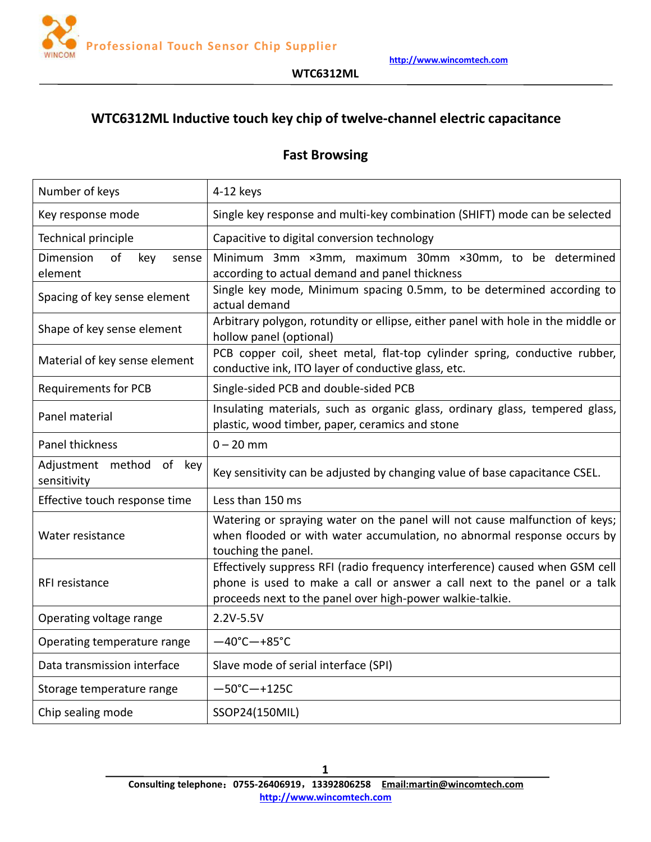

#### **WTC6312ML**

# **WTC6312ML Inductive touch key chip oftwelve-channel electric capacitance**

# **Fast Browsing**

| Number of keys                             | 4-12 keys                                                                                                                                                                                                              |
|--------------------------------------------|------------------------------------------------------------------------------------------------------------------------------------------------------------------------------------------------------------------------|
| Key response mode                          | Single key response and multi-key combination (SHIFT) mode can be selected                                                                                                                                             |
| Technical principle                        | Capacitive to digital conversion technology                                                                                                                                                                            |
| Dimension<br>of<br>key<br>sense<br>element | Minimum 3mm ×3mm, maximum 30mm ×30mm, to be determined<br>according to actual demand and panel thickness                                                                                                               |
| Spacing of key sense element               | Single key mode, Minimum spacing 0.5mm, to be determined according to<br>actual demand                                                                                                                                 |
| Shape of key sense element                 | Arbitrary polygon, rotundity or ellipse, either panel with hole in the middle or<br>hollow panel (optional)                                                                                                            |
| Material of key sense element              | PCB copper coil, sheet metal, flat-top cylinder spring, conductive rubber,<br>conductive ink, ITO layer of conductive glass, etc.                                                                                      |
| <b>Requirements for PCB</b>                | Single-sided PCB and double-sided PCB                                                                                                                                                                                  |
| Panel material                             | Insulating materials, such as organic glass, ordinary glass, tempered glass,<br>plastic, wood timber, paper, ceramics and stone                                                                                        |
| Panel thickness                            | $0 - 20$ mm                                                                                                                                                                                                            |
| Adjustment method of key<br>sensitivity    | Key sensitivity can be adjusted by changing value of base capacitance CSEL.                                                                                                                                            |
| Effective touch response time              | Less than 150 ms                                                                                                                                                                                                       |
| Water resistance                           | Watering or spraying water on the panel will not cause malfunction of keys;<br>when flooded or with water accumulation, no abnormal response occurs by<br>touching the panel.                                          |
| RFI resistance                             | Effectively suppress RFI (radio frequency interference) caused when GSM cell<br>phone is used to make a call or answer a call next to the panel or a talk<br>proceeds next to the panel over high-power walkie-talkie. |
| Operating voltage range                    | 2.2V-5.5V                                                                                                                                                                                                              |
| Operating temperature range                | $-40^{\circ}$ C $-+85^{\circ}$ C                                                                                                                                                                                       |
| Data transmission interface                | Slave mode of serial interface (SPI)                                                                                                                                                                                   |
| Storage temperature range                  | $-50^{\circ}$ C $-+125C$                                                                                                                                                                                               |
| Chip sealing mode                          | SSOP24(150MIL)                                                                                                                                                                                                         |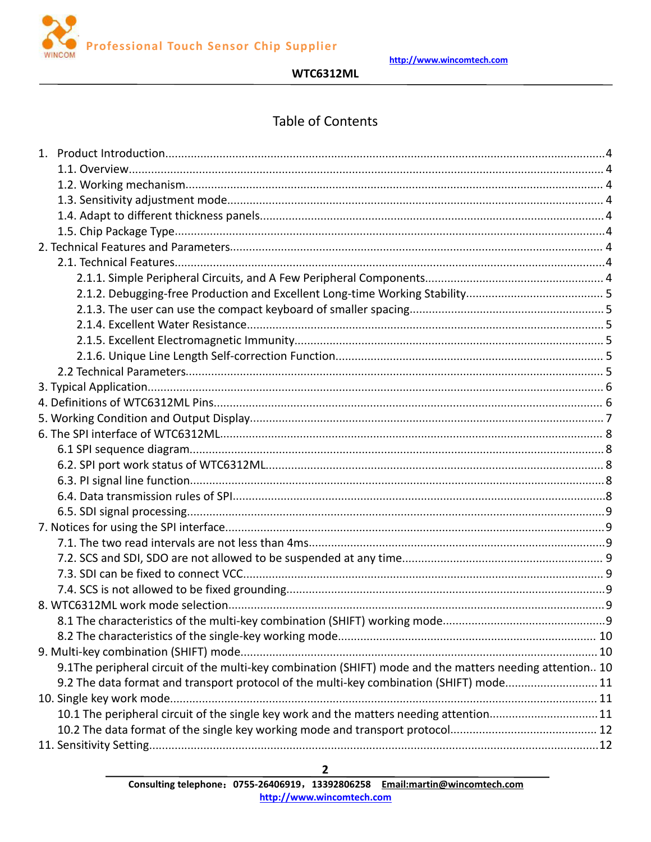

**WTC6312ML** 

# **Table of Contents**

| 9.1The peripheral circuit of the multi-key combination (SHIFT) mode and the matters needing attention 10 |  |
|----------------------------------------------------------------------------------------------------------|--|
| 9.2 The data format and transport protocol of the multi-key combination (SHIFT) mode11                   |  |
|                                                                                                          |  |
| 10.1 The peripheral circuit of the single key work and the matters needing attention11                   |  |
|                                                                                                          |  |
|                                                                                                          |  |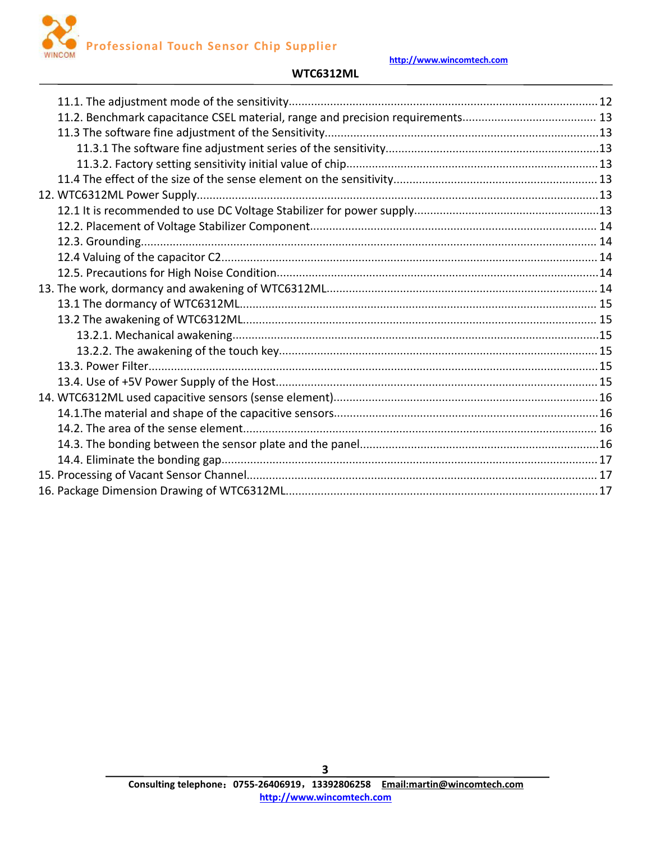

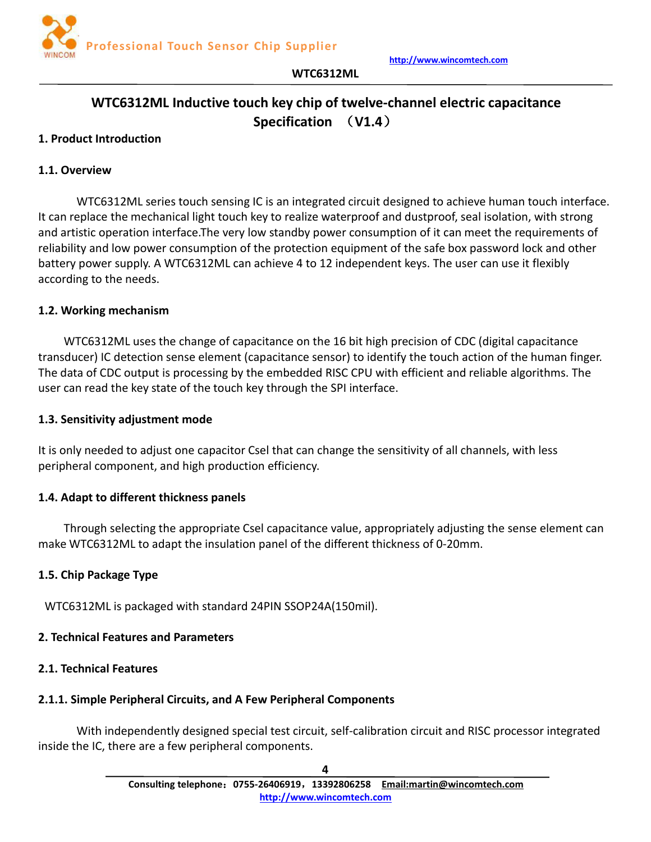

# **WTC6312ML Inductive touch key chip oftwelve-channel electric capacitance Specification** (**V1.4**)

**WTC6312ML**

#### <span id="page-3-1"></span><span id="page-3-0"></span>**1. Product Introduction**

#### **1.1. Overview**

WTC6312ML series touch sensing IC is an integrated circuit designed to achieve human touch interface. It can replace the mechanical light touch key to realize waterproof and dustproof, seal isolation, with strong and artistic operation interface.The very low standby power consumption of it can meet the requirements of reliability and low power consumption of the protection equipment of the safe box password lock and other battery power supply. A WTC6312ML can achieve 4 to 12 independent keys. The user can use it flexibly according to the needs.

#### **1.2. Working mechanism**

WTC6312ML uses the change of capacitance on the 16 bit high precision of CDC (digital capacitance transducer) IC detection sense element (capacitance sensor) to identify the touch action of the human finger. The data of CDC output is processing by the embedded RISC CPU with efficient and reliable algorithms. The user can read the key state of the touch key through the SPI interface.

#### **1.3. Sensitivity adjustment mode**

It is only needed to adjust one capacitor Csel that can change the sensitivity of all channels, with less peripheral component, and high production efficiency.

#### **1.4. Adapt to different thickness panels**

Through selecting the appropriate Csel capacitance value, appropriately adjusting the sense element can make WTC6312ML to adapt the insulation panel of the different thickness of 0-20mm.

#### **1.5. Chip Package Type**

WTC6312ML is packaged with standard 24PIN SSOP24A(150mil).

#### **2. Technical Features and Parameters**

#### **2.1. Technical Features**

#### **2.1.1. Simple Peripheral Circuits, and A Few Peripheral Components**

With independently designed special test circuit, self-calibration circuit and RISC processor integrated inside the IC, there are a few peripheral components.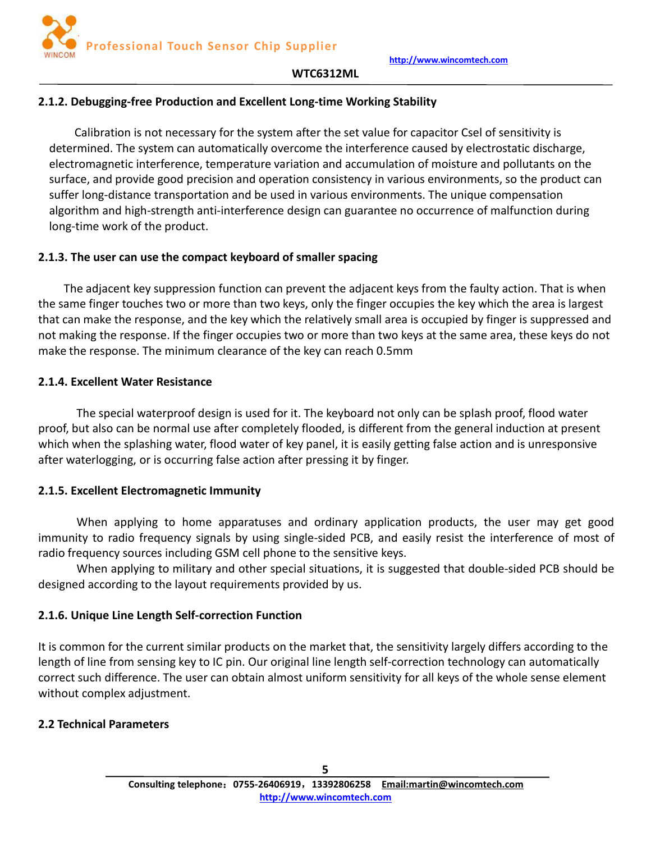

#### <span id="page-4-0"></span>**2.1.2. Debugging-free Production and Excellent Long-time Working Stability**

Calibration is not necessary for the system after the set value for capacitor Csel of sensitivity is determined. The system can automatically overcome the interference caused by electrostatic discharge, electromagnetic interference, temperature variation and accumulation of moisture and pollutants on the surface, and provide good precision and operation consistency in various environments, so the product can suffer long-distance transportation and be used in various environments. The unique compensation algorithm and high-strength anti-interference design can guarantee no occurrence of malfunction during long-time work of the product.

#### **2.1.3. The user can use the compact keyboard of smaller spacing**

The adjacent key suppression function can prevent the adjacent keys from the faulty action. That is when the same finger touches two or more than two keys, only the finger occupies the key which the area is largest that can make the response, and the key which the relatively small area is occupied by finger is suppressed and not making the response. If the finger occupies two or more than two keys at the same area, these keys do not make the response. The minimum clearance of the key can reach 0.5mm

#### **2.1.4. Excellent Water Resistance**

The special waterproof design is used for it. The keyboard not only can be splash proof, flood water proof, but also can be normal use after completely flooded, is different from the general induction at present which when the splashing water, flood water of key panel, it is easily getting false action and is unresponsive after waterlogging, or is occurring false action after pressing it by finger.

# **2.1.5. Excellent Electromagnetic Immunity**

When applying to home apparatuses and ordinary application products, the user may get good immunity to radio frequency signals by using single-sided PCB, and easily resist the interference of most of radio frequency sources including GSM cell phone to the sensitive keys.

When applying to military and other special situations, it is suggested that double-sided PCB should be designed according to the layout requirements provided by us.

# **2.1.6. Unique Line Length Self-correction Function**

It is common for the current similar products on the market that, the sensitivity largely differs according to the length of line from sensing key to IC pin. Our original line length self-correction technology can automatically correct such difference. The user can obtain almost uniform sensitivity for all keys of the whole sense element without complex adjustment.

# **2.2 Technical Parameters**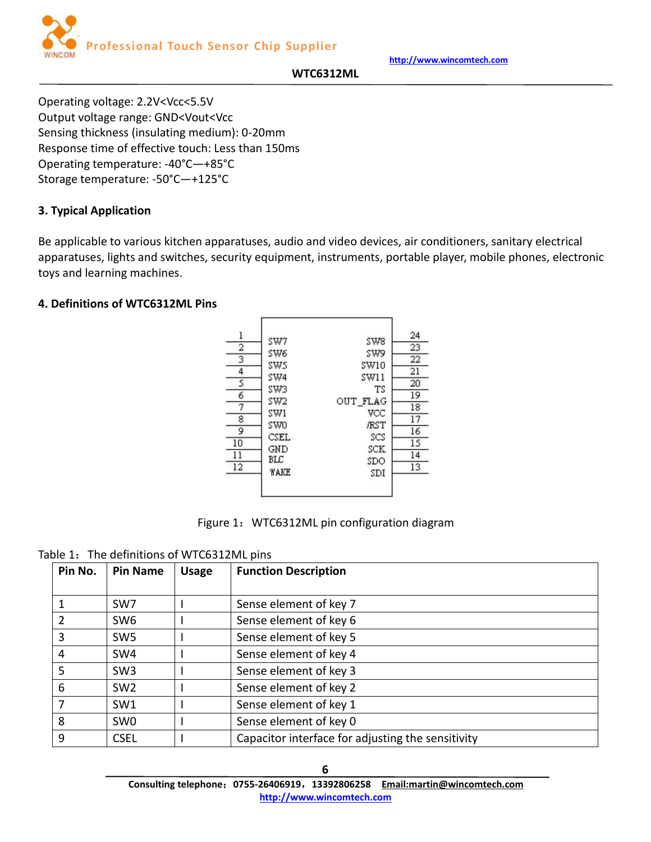

**WTC6312ML**

<span id="page-5-0"></span>Operating voltage: 2.2V<Vcc<5.5V Output voltage range: GND<Vout<Vcc Sensing thickness (insulating medium): 0-20mm Response time of effective touch: Less than 150ms Operating temperature: -40°C—+85°C Storage temperature: -50°C—+125°C

# **3. Typical Application**

Be applicable to various kitchen apparatuses, audio and video devices, air conditioners, sanitary electrical apparatuses, lights and switches, security equipment, instruments, portable player, mobile phones, electronic toys and learning machines.

#### **4. Definitions of WTC6312ML Pins**





Table 1: The definitions of WTC6312ML pins

| Pin No. | <b>Pin Name</b> | <b>Usage</b> | <b>Function Description</b>                       |
|---------|-----------------|--------------|---------------------------------------------------|
|         | SW7             |              | Sense element of key 7                            |
| 2       | SW <sub>6</sub> |              | Sense element of key 6                            |
| 3       | SW <sub>5</sub> |              | Sense element of key 5                            |
| 4       | SW4             |              | Sense element of key 4                            |
| 5       | SW <sub>3</sub> |              | Sense element of key 3                            |
| 6       | SW <sub>2</sub> |              | Sense element of key 2                            |
| 7       | SW <sub>1</sub> |              | Sense element of key 1                            |
| 8       | SW <sub>0</sub> |              | Sense element of key 0                            |
| 9       | <b>CSEL</b>     |              | Capacitor interface for adjusting the sensitivity |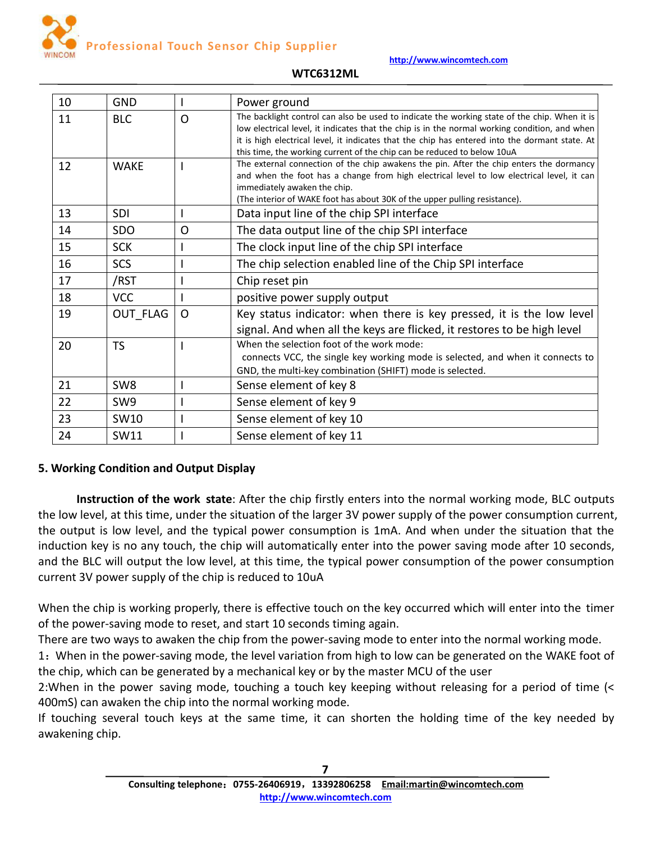

# <span id="page-6-0"></span>10 | GND | I | Power ground 11 BLC  $\overline{O}$  The backlight control can also be used to indicate the working state of the chip. When it is low electrical level, it indicates that the chip is in the normal working condition, and when it is high electrical level, it indicates that the chip has entered into the dormant state. At this time, the working current of the chip can be reduced to below 10uA 12 WAKE I The external connection of the chip awakens the pin. After the chip enters the dormancy and when the foot has a change from high electrical level to low electrical level, it can immediately awaken the chip. (The interior of WAKE foot has about 30K of the upper pulling resistance). 13 SDI I Data input line of the chip SPI interface 14 SDO O The data output line of the chip SPI interface 15 SCK I The clock input line of the chip SPI interface 16 SCS I The chip selection enabled line of the Chip SPI interface 17 | /RST | I | Chip reset pin 18 | VCC | I | positive power supply output 19  $\Box$  OUT FLAG  $\Box$  O  $\Box$  Key status indicator: when there is key pressed, it is the low level signal. And when all the keys are flicked, it restores to be high level  $20$  TS I T When the selection foot of the work mode: connects VCC, the single key working mode is selected, and when it connects to GND, the multi-key combination (SHIFT) mode is selected. 21 SW8 | I Sense element of key 8 22 SW9 | I Sense element of key 9 23 | SW10 | I | Sense element of key 10 24 | SW11 | I | Sense element of key 11

#### **WTC6312ML**

# **5. Working Condition and Output Display**

**Instruction of the work state**: After the chip firstly enters into the normal working mode, BLC outputs the low level, at this time, under the situation of the larger 3V power supply of the powerconsumption current, the output is low level, and the typical power consumption is 1mA. And when under the situation that the induction key is no any touch, the chip will automatically enter into the power saving mode after 10 seconds, and the BLC will output the low level, at this time, the typical power consumption of the power consumption current 3V power supply of the chip is reduced to 10uA

When the chip is working properly, there is effective touch on the key occurred which will enter into the timer of the power-saving mode to reset, and start 10 seconds timing again.

There are two ways to awaken the chip from the power-saving mode to enter into the normal working mode.

1:When in the power-saving mode, the level variation from high to low can be generated on the WAKE foot of the chip, which can be generated by a mechanical key or by the master MCU of the user

2:When in the power saving mode, touching a touch key keeping without releasing for a period of time (< 400mS) can awaken the chip into the normal working mode.

If touching several touch keys at the same time, it can shorten the holding time of the key needed by awakening chip.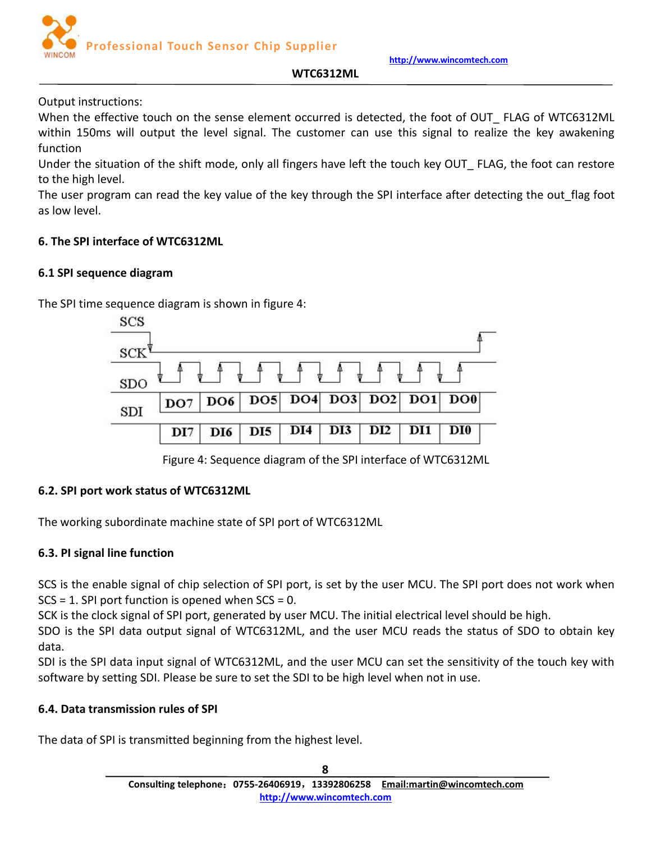**http://www.wincomtech.com**



#### **WTC6312ML**

<span id="page-7-0"></span>Output instructions:

When the effective touch on the sense element occurred is detected, the foot of OUT\_ FLAG of WTC6312ML within 150ms will output the level signal. The customer can use this signal to realize the key awakening function

Under the situation of the shift mode, only all fingers have left the touch key OUT\_ FLAG, the foot can restore to the high level.

The user program can read the key value of the key through the SPI interface after detecting the out\_flag foot as low level.

#### **6. The SPI interface of WTC6312ML**

#### **6.1 SPI sequence diagram**

The SPI time sequence diagram is shown in figure 4:



Figure 4: Sequence diagram of the SPI interface of WTC6312ML

# **6.2. SPI port work status of WTC6312ML**

The working subordinate machine state of SPI port of WTC6312ML

# **6.3. PI signal line function**

SCS is the enable signal of chip selection of SPI port, is set by the user MCU. The SPI port does not work when  $SCS = 1$ . SPI port function is opened when  $SCS = 0$ .

SCK is the clock signal of SPI port, generated by user MCU. The initial electrical level should be high.

SDO is the SPI data output signal of WTC6312ML, and the user MCU reads the status of SDO to obtain key data.

SDI is the SPI data input signal of WTC6312ML, and the user MCU can set the sensitivity of the touch key with software by setting SDI. Please be sure to set the SDI to be high level when not in use.

# **6.4. Data transmission rules of SPI**

The data of SPI is transmitted beginning from the highest level.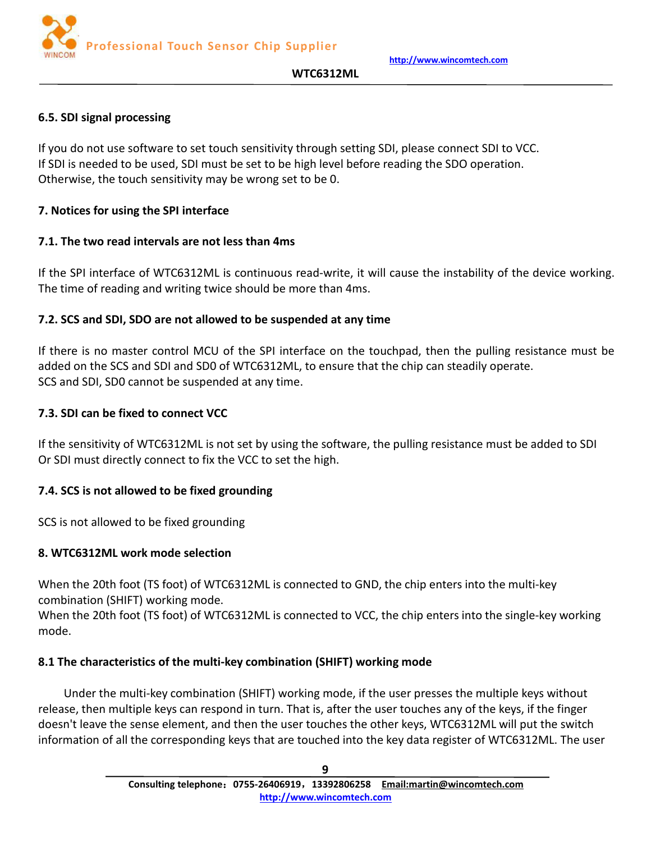

#### **WTC6312ML**

#### <span id="page-8-0"></span>**6.5. SDI signal processing**

If you do not use software to set touch sensitivity through setting SDI, please connect SDIto VCC. If SDI is needed to be used, SDI must be set to be high level before reading the SDO operation. Otherwise, the touch sensitivity may be wrong set to be 0.

#### **7. Notices for using the SPI interface**

#### **7.1. The two read intervals are not less than 4ms**

If the SPI interface of WTC6312ML is continuous read-write, it will cause the instability of the device working. The time of reading and writing twice should be more than 4ms.

#### **7.2. SCS and SDI, SDO are not allowed to be suspended at any time**

If there is no master control MCU of the SPI interface on the touchpad, then the pulling resistance must be added on the SCS and SDI and SD0 of WTC6312ML, to ensure that the chip can steadily operate. SCS and SDI, SD0 cannot be suspended at any time.

#### **7.3. SDI can be fixed to connect VCC**

If the sensitivity of WTC6312ML is not set by using the software, the pulling resistance must be added to SDI Or SDI must directly connect to fix the VCC to set the high.

# **7.4. SCS is not allowed to be fixed grounding**

SCS is not allowed to be fixed grounding

#### **8. WTC6312ML work mode selection**

When the 20th foot (TS foot) of WTC6312ML is connected to GND, the chip enters into the multi-key combination (SHIFT) working mode.

When the 20th foot (TS foot) of WTC6312ML is connected to VCC, the chip enters into the single-key working mode.

# **8.1 The characteristics of the multi-key combination (SHIFT) working mode**

Under the multi-key combination (SHIFT) working mode, if the user presses the multiple keys without release, then multiple keyscan respond in turn. That is, after the user touches any of the keys, if the finger doesn't leave the sense element, and then the user touches the other keys, WTC6312ML will put the switch information of all the corresponding keys that are touched into the key data register of WTC6312ML. The user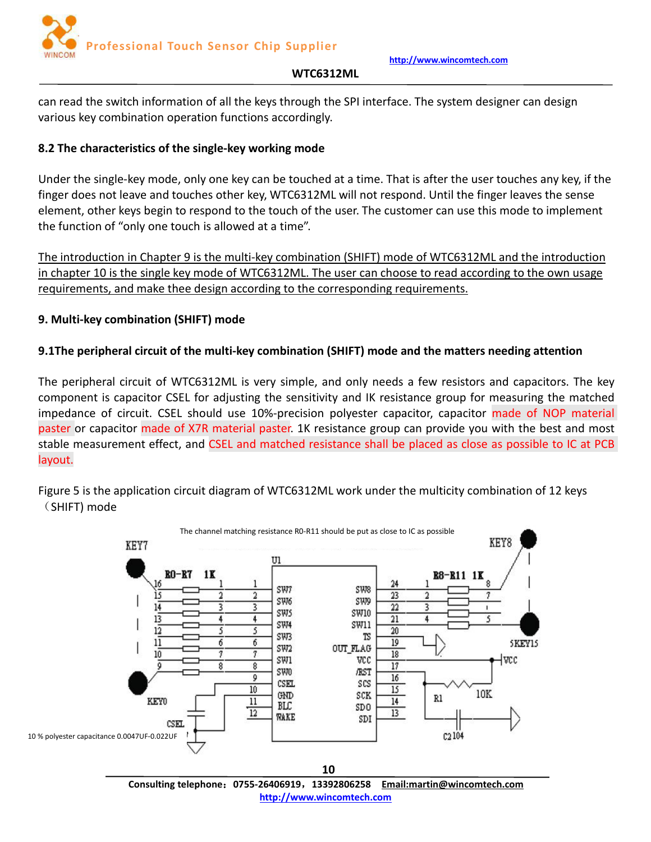

#### **WTC6312ML**

<span id="page-9-0"></span>can read the switch information of all the keys through the SPI interface. The system designer can design various key combination operation functions accordingly.

# **8.2 The characteristics of the single-key working mode**

Under the single-key mode, only one key can be touched at a time. That is after the user touches any key, if the finger does not leave and touches other key, WTC6312ML will not respond. Until the finger leaves the sense element, other keys begin to respond to the touch of the user. The customer can use this mode to implement the function of "only one touch is allowed at a time".

The introduction in Chapter 9 is the multi-key combination (SHIFT) mode of WTC6312ML and the introduction in chapter 10 is the single key mode of WTC6312ML. The user can choose to read according to the own usage requirements, and make thee design according to the corresponding requirements.

# **9. Multi-key combination (SHIFT) mode**

# **9.1The peripheral circuit of the multi-key combination (SHIFT) mode and the matters needing attention**

The peripheral circuit of WTC6312ML is very simple, and only needs a few resistors and capacitors. The key component is capacitor CSEL for adjusting the sensitivity and IK resistance group for measuring the matched impedance of circuit. CSEL should use 10%-precision polyester capacitor, capacitor made of NOP material paster or capacitor made of X7R material paster. 1K resistance group can provide you with the best and most stable measurement effect, and CSEL and matched resistance shall be placed as close as possible to IC at PCB layout.

Figure 5 is the application circuit diagram of WTC6312ML work under the multicity combination of 12 keys (SHIFT) mode



**Consulting telephone**:**0755-26406919**,**13392806258 Email:martin@wincomtech.com http://www.wincomtech.com**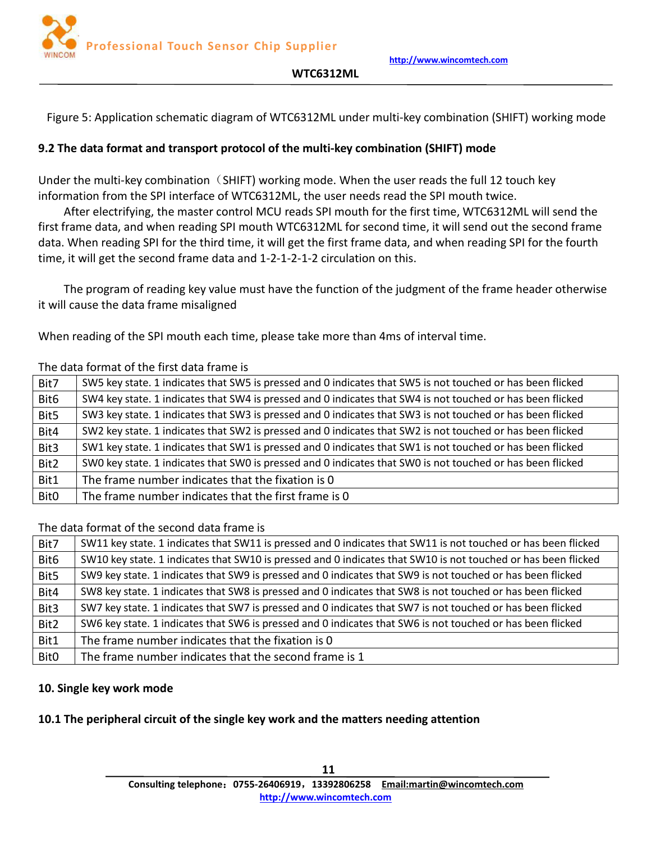

#### **WTC6312ML**

<span id="page-10-0"></span>Figure 5: Application schematic diagram of WTC6312ML under multi-key combination (SHIFT) working mode

#### **9.2 The data format and transport protocol of the multi-key combination (SHIFT) mode**

Under the multi-key combination  $(SHIFT)$  working mode. When the user reads the full 12 touch key information from the SPI interface of WTC6312ML, the user needs read the SPI mouth twice.

After electrifying, the master control MCU reads SPI mouth for the first time, WTC6312ML will send the first frame data, and when reading SPI mouth WTC6312ML for second time, it will send out the second frame data. When reading SPI for the third time, it will get the first frame data, and when reading SPI for the fourth time, it will get the second frame data and 1-2-1-2-1-2 circulation on this.

The program of reading key value must have the function of the judgment of the frame header otherwise it will cause the data frame misaligned

When reading of the SPI mouth each time, please take more than 4ms of interval time.

#### The data format of the first data frame is

| Bit7             | SW5 key state. 1 indicates that SW5 is pressed and 0 indicates that SW5 is not touched or has been flicked |
|------------------|------------------------------------------------------------------------------------------------------------|
| Bit <sub>6</sub> | SW4 key state. 1 indicates that SW4 is pressed and 0 indicates that SW4 is not touched or has been flicked |
| Bit5             | SW3 key state. 1 indicates that SW3 is pressed and 0 indicates that SW3 is not touched or has been flicked |
| Bit4             | SW2 key state. 1 indicates that SW2 is pressed and 0 indicates that SW2 is not touched or has been flicked |
| Bit3             | SW1 key state. 1 indicates that SW1 is pressed and 0 indicates that SW1 is not touched or has been flicked |
| Bit2             | SWO key state. 1 indicates that SWO is pressed and 0 indicates that SWO is not touched or has been flicked |
| Bit1             | The frame number indicates that the fixation is 0                                                          |
| Bit <sub>0</sub> | The frame number indicates that the first frame is 0                                                       |
|                  |                                                                                                            |

#### The data format of the second data frame is

| Bit7             | SW11 key state. 1 indicates that SW11 is pressed and 0 indicates that SW11 is not touched or has been flicked |
|------------------|---------------------------------------------------------------------------------------------------------------|
| Bit <sub>6</sub> | SW10 key state. 1 indicates that SW10 is pressed and 0 indicates that SW10 is not touched or has been flicked |
| Bit5             | SW9 key state. 1 indicates that SW9 is pressed and 0 indicates that SW9 is not touched or has been flicked    |
| Bit4             | SW8 key state. 1 indicates that SW8 is pressed and 0 indicates that SW8 is not touched or has been flicked    |
| Bit3             | SW7 key state. 1 indicates that SW7 is pressed and 0 indicates that SW7 is not touched or has been flicked    |
| Bit2             | SW6 key state. 1 indicates that SW6 is pressed and 0 indicates that SW6 is not touched or has been flicked    |
| Bit1             | The frame number indicates that the fixation is 0                                                             |
| <b>Bit0</b>      | The frame number indicates that the second frame is 1                                                         |

#### **10. Single key work mode**

#### **10.1 The peripheral circuit of the single key work and the matters needing attention**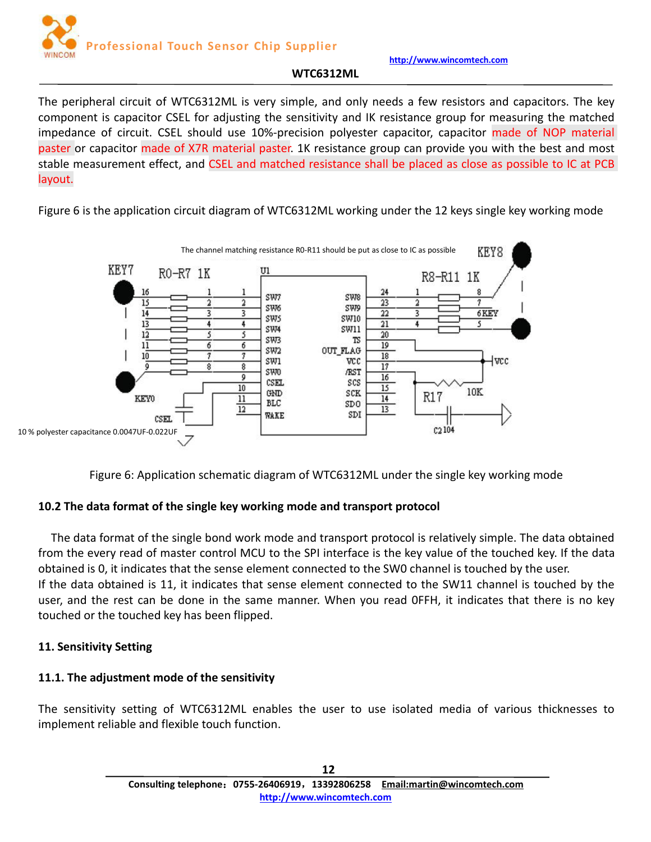

#### **WTC6312ML**

<span id="page-11-0"></span>The peripheral circuit of WTC6312ML is very simple, and only needs a few resistors and capacitors. The key component is capacitor CSEL for adjusting the sensitivity and IK resistance group for measuring the matched impedance of circuit. CSEL should use 10%-precision polyester capacitor, capacitor made of NOP material paster or capacitor made of X7R material paster. 1K resistance group can provide you with the best and most stable measurement effect, and CSEL and matched resistance shall be placed as close as possible to IC at PCB layout.

Figure 6 is the application circuit diagram of WTC6312ML working under the 12 keys single key working mode



Figure 6: Application schematic diagram of WTC6312ML under the single key working mode

# **10.2 The data format of the single key working mode and transport protocol**

The data format of the single bond work mode and transport protocol is relatively simple. The data obtained from the every read of master control MCU to the SPI interface is the key value of the touched key. If the data obtained is 0, it indicates that the sense element connected to the SW0 channel is touched by the user. If the data obtained is 11, it indicates that sense element connected to the SW11 channel is touched by the user, and the rest can be done in the same manner. When you read OFFH, it indicates that there is no key touched or the touched key has been flipped.

# **11. Sensitivity Setting**

# **11.1. The adjustment mode of the sensitivity**

The sensitivity setting of WTC6312ML enables the user to use isolated media of various thicknesses to implement reliable and flexible touch function.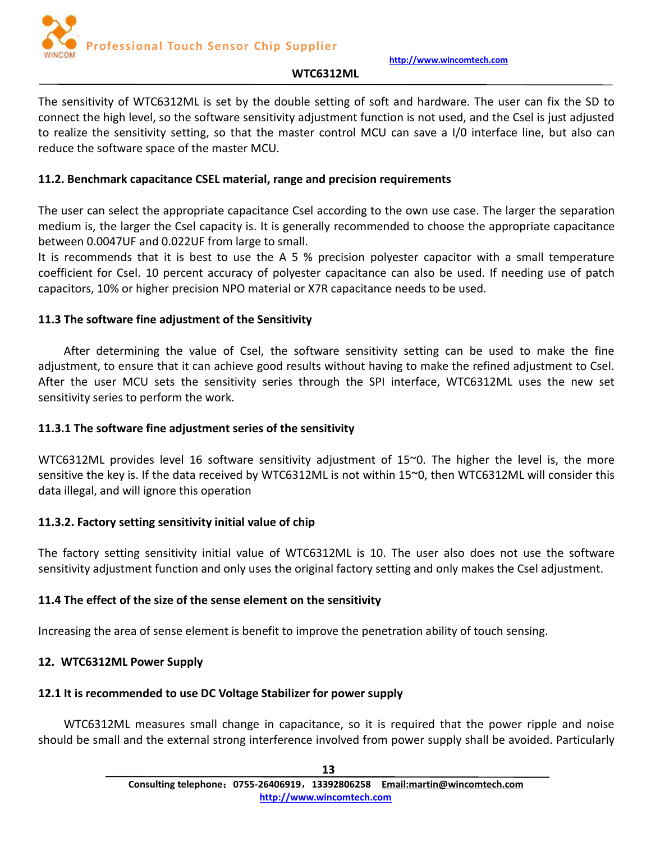

#### **WTC6312ML**

<span id="page-12-1"></span><span id="page-12-0"></span>The sensitivity of WTC6312ML is set by the double setting of soft and hardware. The user can fix the SD to connect the high level, so the software sensitivity adjustment function is not used, and the Csel is just adjusted to realize the sensitivity setting, so that the master control MCU can save a I/0 interface line, but also can reduce the software space of the master MCU.

#### **11.2. Benchmark capacitance CSEL material, range and precision requirements**

The user can select the appropriate capacitance Csel according to the own use case. The larger the separation medium is, the larger the Csel capacity is. It is generally recommended to choose the appropriate capacitance between 0.0047UF and 0.022UF from large to small.

It is recommends that it is best to use the A 5 % precision polyester capacitor with a small temperature coefficient for Csel. 10 percent accuracy of polyester capacitance can also be used. If needing use of patch capacitors, 10% or higher precision NPO materialor X7R capacitance needs to be used.

#### **11.3 The software fine adjustment of the Sensitivity**

After determining the value of Csel, the software sensitivity setting can be used to make the fine adjustment, to ensure that it can achieve good results without having to make the refined adjustment to Csel. After the user MCU sets the sensitivity series through the SPI interface, WTC6312ML uses the new set sensitivity series to perform the work.

#### **11.3.1 The software fine adjustment series of the sensitivity**

WTC6312ML provides level 16 software sensitivity adjustment of 15~0. The higher the level is, the more sensitive the key is. If the data received by WTC6312ML is not within 15~0, then WTC6312ML will consider this data illegal, and will ignore this operation

#### **11.3.2. Factory setting sensitivity initial value of chip**

The factory setting sensitivity initial value of WTC6312ML is 10. The user also does not use the software sensitivity adjustment function and only uses the original factory setting and only makes the Csel adjustment.

#### **11.4 The effect of the size of the sense element on the sensitivity**

Increasing the area of sense element is benefit to improve the penetration ability of touch sensing.

# **12. WTC6312ML Power Supply**

#### **12.1 It is recommended to use DC Voltage Stabilizer for power supply**

WTC6312ML measures small change in capacitance, so it is required that the power ripple and noise should be small and the external strong interference involved from power supply shall be avoided. Particularly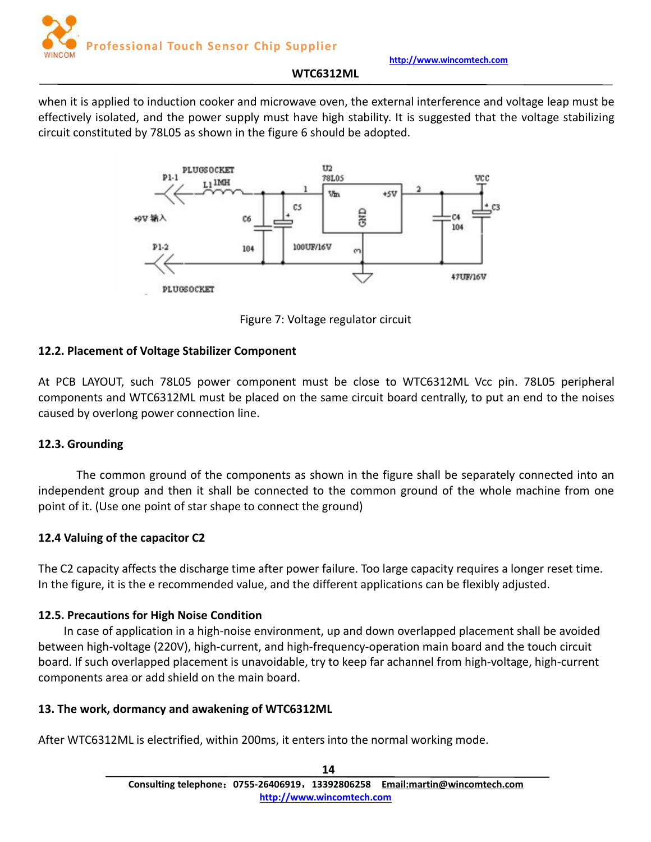

#### **WTC6312ML**

<span id="page-13-0"></span>when it is applied to induction cooker and microwave oven, the external interference and voltage leap must be effectively isolated, and the power supply must have high stability. It is suggested that the voltage stabilizing circuit constituted by 78L05 as shown in the figure 6 should be adopted.



Figure 7: Voltage regulator circuit

# **12.2. Placement of Voltage Stabilizer Component**

At PCB LAYOUT, such 78L05 power component must be close to WTC6312ML Vcc pin. 78L05 peripheral components and WTC6312ML must be placed on the same circuit board centrally, to put an end to the noises caused by overlong power connection line.

#### **12.3. Grounding**

The common ground of the components as shown in the figure shall be separately connected into an independent group and then it shall be connected to the common ground of the whole machine from one point of it.(Use one point of star shape to connect the ground)

#### **12.4 Valuing of the capacitor C2**

The C2 capacity affects the discharge time after power failure. Too large capacity requires a longer reset time. In the figure, it is the e recommended value, and the different applications can be flexibly adjusted.

# **12.5. Precautions for High Noise Condition**

In case of application in a high-noise environment, up and down overlapped placement shall be avoided between high-voltage (220V), high-current, and high-frequency-operation main board and the touch circuit board. If such overlapped placement is unavoidable, try to keep far achannel from high-voltage, high-current components area or add shield on the main board.

#### **13. The work, dormancy and awakening of WTC6312ML**

After WTC6312ML is electrified, within 200ms, it enters into the normal working mode.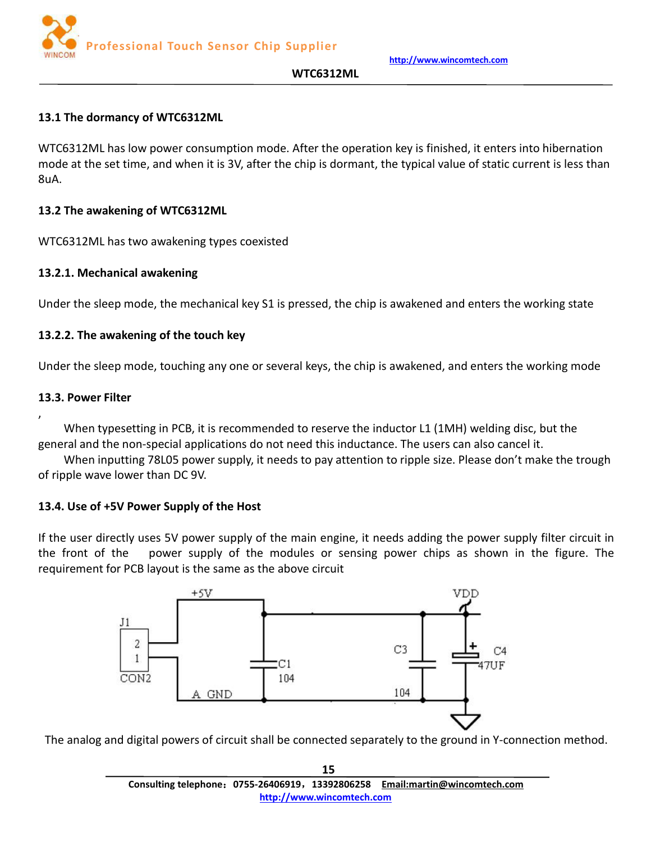**http://www.wincomtech.com**



#### <span id="page-14-0"></span>**13.1 The dormancy of WTC6312ML**

WTC6312ML has low power consumption mode. After the operation key is finished, it enters into hibernation mode at the set time, and when it is 3V, after the chip is dormant, the typical value of static current is less than 8uA.

#### **13.2 The awakening of WTC6312ML**

WTC6312ML has two awakening types coexisted

#### **13.2.1. Mechanical awakening**

Under the sleep mode, the mechanical key S1 is pressed, the chip is awakened and enters the working state

#### **13.2.2. The awakening of the touch key**

Under the sleep mode, touching any one or several keys, the chip is awakened, and enters the working mode

#### **13.3. Power Filter**

 $\mathbf{y} = \mathbf{y} \mathbf{y}$ 

When typesetting in PCB, it is recommended to reserve the inductor L1 (1MH) welding disc, but the general and the non-special applications do not need this inductance. The users can also cancel it.

When inputting 78L05 power supply, it needs to pay attention to ripple size. Please don't make the trough of ripple wave lower than DC 9V.

# **13.4. Use of +5V Power Supply of the Host**

If the user directly uses 5V power supply of the main engine, it needs adding the power supply filter circuit in the front of the power supply of the modules or sensing power chips as shown in the figure. The requirement for PCB layout is the same as the above circuit



The analog and digital powers of circuit shall be connected separately to the ground in Y-connection method.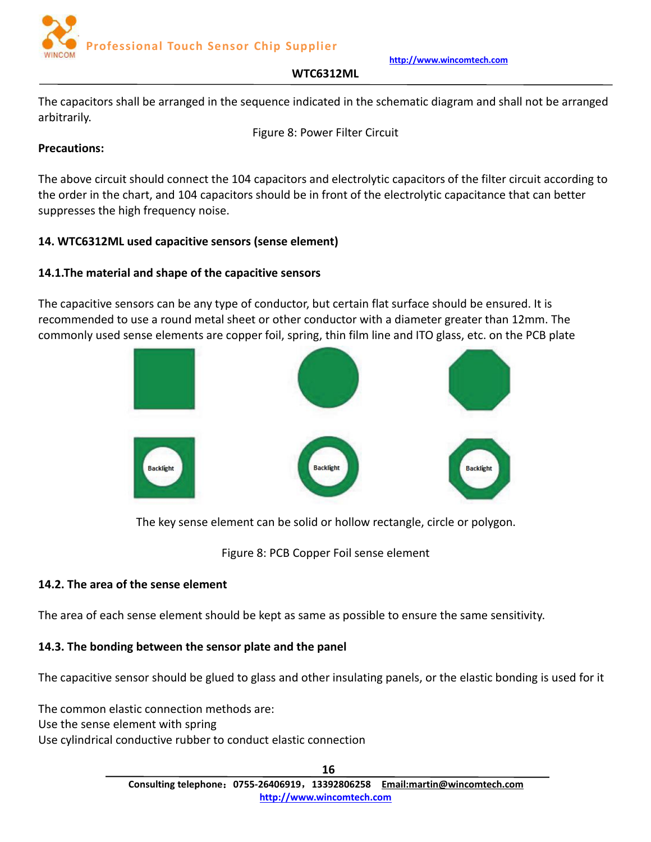

#### **WTC6312ML**

<span id="page-15-0"></span>The capacitors shall be arranged in the sequence indicated in the schematic diagram and shall not be arranged arbitrarily.

Figure 8: Power Filter Circuit

# **Precautions:**

The above circuit should connect the 104 capacitors and electrolytic capacitors of the filter circuit according to the order in the chart, and 104 capacitors should be in front of the electrolytic capacitance that can better suppresses the high frequency noise.

# **14. WTC6312ML used capacitive sensors (sense element)**

# **14.1.The material and shape of the capacitive sensors**

The capacitive sensors can be any type of conductor, but certain flat surface should be ensured. It is recommended to use a round metal sheet or other conductor with a diameter greater than 12mm. The commonly used sense elements are copper foil, spring, thin film line and ITO glass, etc. on the PCB plate



The key sense element can be solid or hollow rectangle, circle or polygon.

Figure 8: PCB Copper Foil sense element

# **14.2. The area of the sense element**

The area of each sense element should be kept as same as possible to ensure the same sensitivity.

# **14.3. The bonding between the sensor plate and the panel**

The capacitive sensor should be glued to glass and other insulating panels, or the elastic bonding is used for it

The common elastic connection methods are: Use the sense element with spring Use cylindrical conductive rubber to conduct elastic connection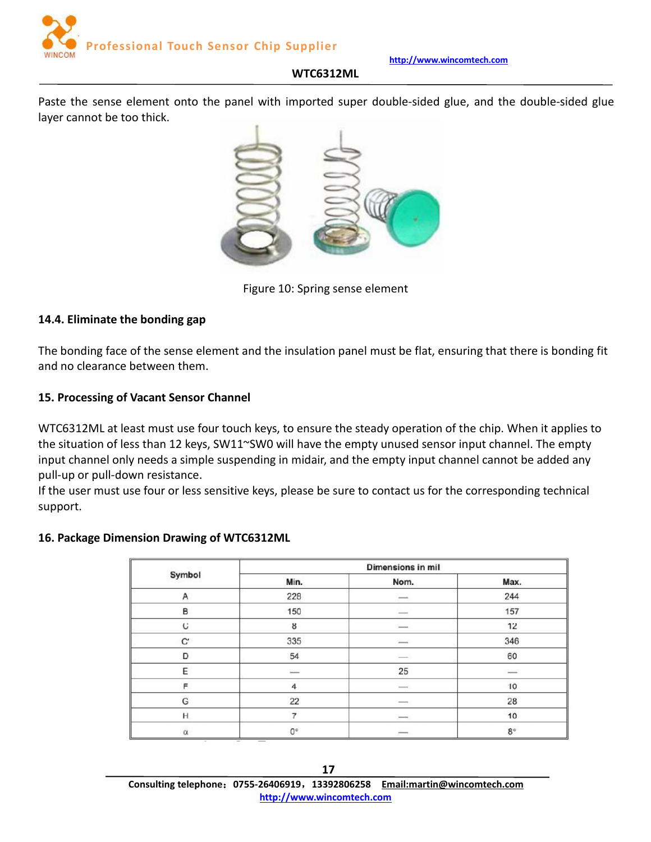**http://www.wincomtech.com**

#### **WTC6312ML**

<span id="page-16-0"></span>Paste the sense element onto the panel with imported super double-sided glue, and the double-sided glue layer cannot be too thick.



Figure 10: Spring sense element

#### **14.4. Eliminate the bonding gap**

The bonding face of the sense element and the insulation panel must be flat, ensuring that there is bonding fit and no clearance between them.

#### **15. Processing of Vacant Sensor Channel**

WTC6312ML at least must use four touch keys, to ensure the steady operation of the chip. When it applies to the situation of less than 12 keys, SW11~SW0 will have the empty unused sensor input channel. The empty input channel only needs a simple suspending in midair, and the empty input channel cannot be added any pull-up or pull-down resistance.

If the user must use four or less sensitive keys, please be sure to contact us for the corresponding technical support.

#### **16. Package Dimension Drawing of WTC6312ML**

| <b>CONTRACTOR</b> | Dimensions in mil  |                          |               |  |
|-------------------|--------------------|--------------------------|---------------|--|
| Symbol            | Min.               | Nom.                     | Max.          |  |
| Α                 | 228                | $\cdots$                 | 244           |  |
| в                 | 150                | $\overline{\phantom{a}}$ | 157           |  |
| c                 | 8                  | $\cdots$                 | 12            |  |
| C.                | 335                | $\cdots$                 | 346           |  |
| D                 | 54                 |                          | 60            |  |
| E                 | $\frac{1}{2}$      | 25                       | $\frac{1}{2}$ |  |
| F                 | $\overline{4}$     | $\cdots$                 | 10            |  |
| ${\mathbb G}$     | 22                 |                          | 28            |  |
| H                 | $\overline{7}$     | $\frac{1}{2}$            | 10            |  |
| $\alpha$          | $\mathbb{O}^\circ$ | $\frac{1}{2}$            | $8^\circ$     |  |